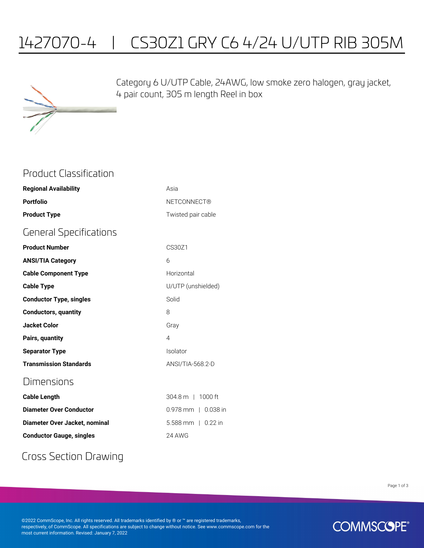# 1427070-4 | CS30Z1 GRY C6 4/24 U/UTP RIB 305M



Category 6 U/UTP Cable, 24AWG, low smoke zero halogen, gray jacket, 4 pair count, 305 m length Reel in box

#### Product Classification

| <b>Regional Availability</b>   | Asia                      |
|--------------------------------|---------------------------|
| <b>Portfolio</b>               | <b>NETCONNECT®</b>        |
| <b>Product Type</b>            | Twisted pair cable        |
| <b>General Specifications</b>  |                           |
| <b>Product Number</b>          | CS30Z1                    |
| <b>ANSI/TIA Category</b>       | 6                         |
| <b>Cable Component Type</b>    | Horizontal                |
| <b>Cable Type</b>              | U/UTP (unshielded)        |
| <b>Conductor Type, singles</b> | Solid                     |
| <b>Conductors, quantity</b>    | 8                         |
| <b>Jacket Color</b>            | Gray                      |
| Pairs, quantity                | 4                         |
| <b>Separator Type</b>          | Isolator                  |
| <b>Transmission Standards</b>  | ANSI/TIA-568.2-D          |
| Dimensions                     |                           |
| <b>Cable Length</b>            | 304.8 m   1000 ft         |
| <b>Diameter Over Conductor</b> | $0.978$ mm $\pm$ 0.038 in |
|                                |                           |

| plameter over conductor         | U.Y/ÖIIIIII U.U3ÖI       |
|---------------------------------|--------------------------|
| Diameter Over Jacket. nominal   | $5.588$ mm $\pm$ 0.22 in |
| <b>Conductor Gauge, singles</b> | 24 AWG                   |

### Cross Section Drawing

Page 1 of 3

©2022 CommScope, Inc. All rights reserved. All trademarks identified by ® or ™ are registered trademarks, respectively, of CommScope. All specifications are subject to change without notice. See www.commscope.com for the most current information. Revised: January 7, 2022

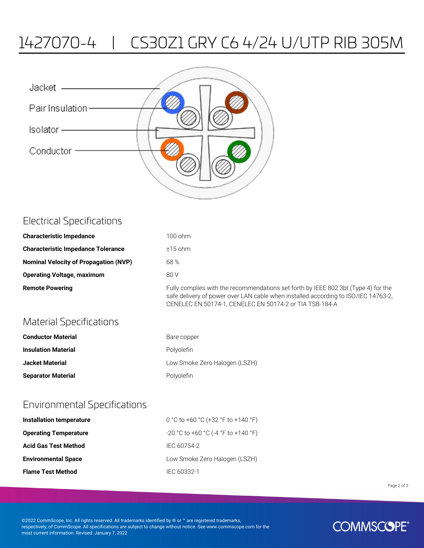# 1427070-4 | CS30Z1 GRY C6 4/24 U/UTP RIB 305M

| Jacket ———       |  |
|------------------|--|
| Pair Insulation- |  |
| Isolator ————    |  |
| Conductor        |  |
|                  |  |
|                  |  |

| <b>Electrical Specifications</b>          |           |
|-------------------------------------------|-----------|
| <b>Characteristic Impedance</b>           | $100$ ohm |
| <b>Characteristic Impedance Tolerance</b> | $±15$ ohm |

| <b>Nominal Velocity of Propagation (NVP)</b> | 68 % |
|----------------------------------------------|------|
| <b>Operating Voltage, maximum</b>            | 80 V |

**Remote Powering** Fully complies with the recommendations set forth by IEEE 802.3bt (Type 4) for the safe delivery of power over LAN cable when installed according to ISO/IEC 14763-2, CENELEC EN 50174-1, CENELEC EN 50174-2 or TIA TSB-184-A

### Material Specifications

| <b>Conductor Material</b>  | Bare copper                   |
|----------------------------|-------------------------------|
| <b>Insulation Material</b> | Polvolefin                    |
| <b>Jacket Material</b>     | Low Smoke Zero Halogen (LSZH) |
| <b>Separator Material</b>  | Polyolefin                    |

#### Environmental Specifications

| Installation temperature     | 0 °C to +60 °C (+32 °F to +140 °F)    |
|------------------------------|---------------------------------------|
| <b>Operating Temperature</b> | $-20$ °C to +60 °C (-4 °F to +140 °F) |
| <b>Acid Gas Test Method</b>  | IEC 60754-2                           |
| <b>Environmental Space</b>   | Low Smoke Zero Halogen (LSZH)         |
| <b>Flame Test Method</b>     | IEC 60332-1                           |

Page 2 of 3

©2022 CommScope, Inc. All rights reserved. All trademarks identified by ® or ™ are registered trademarks, respectively, of CommScope. All specifications are subject to change without notice. See www.commscope.com for the most current information. Revised: January 7, 2022